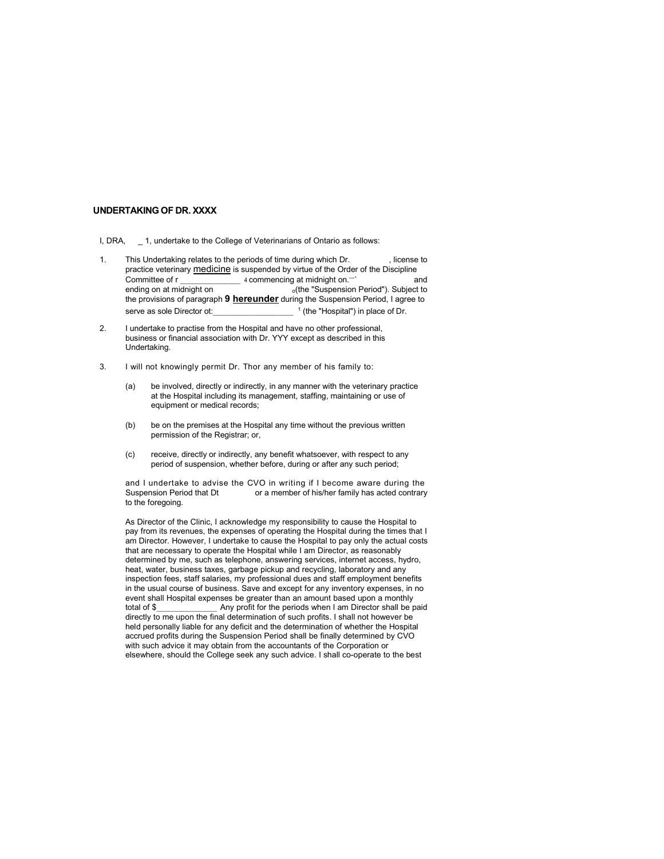- UNDERTAKING OF DR. XXXX<br>
1. DRA,  $\_$ 1, undertake to the College of Veterinarians of Ontario as follows:<br>
1. This Undertaking relates to the periods of time during which Dr. (license to<br>
practice veterinary <u>medicine</u> is **II, DRA, \_\_1, undertake to the College of Veterinarians of Ontario as follows:**<br>
I, DRA, \_\_1, undertake to the College of Veterinarians of Ontario as follows:<br>
IThis Undertaking relates to the periods of time during which **INDERTAKING OF DR. XXXX**<br>
1. DRA, \_\_\_\_\_T, undertake to the College of Veterinanians of Ontario as follows:<br>
1. This Undertaking relates to the periods of time during which Dr. , license to<br>
2. Examples of the period time **TAKING OF DR. XXXX**<br>  $\_\_$ 1, undertake to the College of Veterinarians of Ontario as follows:<br>
This truthchatking relates to the periods of three disciplines in<br> **Commenting on at midingly to a** commentation and individu TAKING OF DR. XXXX<br>
This truthstake to the College of Veterinarians of Ontario as follows:<br>
This Undersking relates to the periods of time during which Dr. . . . . . .<br>
First Individual of periods of periods of the period **TAKING OF DR. XOOX**<br>
2.1. undertake to the College of Veterinarians of Ontario as follows:<br>
This Undertaken periods to the periods of time during which Dr.<br>
Increase the Construction Period in the Construction Period of t **TAKING OF DR. XOOX**<br>  $-1$ , undertake to the College of Veterinarians of Ontario as follows:<br>
This Undertaking relates to the periods of thin during which Dr.<br>
increases of the Discipline of The Suspension Period, I agree **TAKING OF DR. XXXX**<br>
1, undertake to the College of Veterinarians of Ontario as follows:<br>
This Undertaking relates to the periods of time during which Dr.<br>
This Undertaking relates to the periods of time during which Dr.<br> of Ontario as follows:<br>
ing which Dr.<br>
illustration of the Order of the Discipline<br>
and the Order of the Orler Discipline<br>
in Suspension Period, I agree to<br>
the "Suspension Period, I agree to<br>
(the "Hospital") in place of **NDERTAKING OF DR. XXXX**<br>
2. I, undertake to the College of Veterinantans of Ontario as follows:<br>
2. This Ludestraining relates to the periods of time administration Dr.<br>
2. Increase to control and have no other profession **TAKING OF DR. XOXX**<br>
-1, underside to the College of Veterinarians of Ontario as follows:<br>
This Underside to the periods of thire during which Dr. (Icense to<br>
practice veterinary <u>medicine</u> to a superported by virtual of **NDERTAKING OF DR. XXXX**<br>
3. IDRA, \_\_1, undertake to the College of Veterinarians of Ortario as follows:<br>
3. This lookestabing relates to the periods of time during with to Dr.<br>
3. This lookestabing relates to the periods **TAKING OF DR. XOOX**<br>  $-$  1. undertake to the College of Veterinarians of Ontario as follows:<br>
This Undertaining relates to the periods of time during which Dr.<br>
Incorporation or indirectly or indirectly virtue of the Ori **is o F DR. XXXX**<br>
undertake to the College of Veterinarians of Charito as follows:<br>
undertake the periods of time during which Dr. (Iconse to<br>
veterinary <u>medicine</u> is suspended by virtue of the Crider of the Discipline<br> **IG OF DR. XXXX**<br>
undertake to the College of Veterinarians of Ontario as follows:<br>
idertaking relates to the periods of time during which Dr. (Icense to<br>
verteening <u>medicline</u> is suspended by witte of the Orier of the D TAKING OF DR. XOOX<br>  $\pm$  1. undertaking calcula to the premise at the premise at the premise value of the premise value of the premise at the premise weak of the premise written by the premise and the previous of premise **GOF DR. XXXX**<br>
undertake to the College of Veterinatians of Ontario as follows:<br>
undertaking relates to the periods of the abung which Dr.<br>
veterinary mediciding is suspended by witte of the Drider of the Discipline<br>
acco **TAKING OF DR. XXXX**<br>  $-$  1, undertake to the College of Veterinarians of Ontario as follows:<br>
This Undertaking relatios to the periods of time during which Dr.<br>
Committee of r<br>
Committee of r<br>
Committee of receive and in **GOF DR. XXXX**<br>
undertake to the College of Veterinarians of Ontario as follows:<br>
undertaking relates to the periods of sime during which Dr.<br>
uccess the suspension of the Older of the Older of the Discipline<br>
the or a mar **TAKING OF DR. XOOX**<br>
1. Undertake to the College of Veterinarians of Ontario as follows:<br>
This Undertake to the College of Susebendel of time during which Dr.<br>
This Undertake vestman <u>the CVC in writing</u> the Susebendel o **TAKING OF DR. XXXX**<br>
1. Jundertake to the College of Veterinarians of Ontario as follows:<br>
This Undertaking relates to the periods of thin during which Dr. (Increase to<br>
Dominate of through the Decision of the Decision o - 1, undertake to the College of Veterinarians of Ontario as follows:<br>
This Undertaking relates to the periods of time during which Dr. (Ilcense to<br>
practice veterinary <u>medicine</u> is suspended by virtue of the Order of
- Undertaking.
- -
	-
	-

-1. Undertake to the College of Velorinations of Ontario as Globales.<br>This Undertake value of the Clinic Clinic of the Clinic Conduct of the Clinic Conducts and Conducts of the Clinical to the Clinical to the Clinical to This Undertaking relatios to the periods of time during which Dr.<br>
also concerve ween the providence of the distance of the Distance of operation of the Distance of operation<br>
and ending on at midiatoria change in Supersit This Undertake to the Periodis dimension of the Periodis of the during which Di. I. license of Connection of Connection and the Hospital to pay only the Costs of Connection of the Hospital to pay only the Hospital to pay o practics velocity <u>medicing</u> is supported by virtue of the Order of the Discipline<br>
channing on a midiating on a midiating on  $\sim$  the "Suppersion Period", Subject to the provisions of paragrams of paragrams of the "supper Committee of the margin **are the match of the match of the match of the match as telephone of the match and the match as telephone of the match and the such as telephone, in the match as telephone of the match and the matc** ending on at mixingits to the matter of the "Suppersion Period", Subject to the "Montal" (the "Montal") in place of Dr.<br>
Her provisions of paragraph **9 hereunder** during the Suppersional Dr.<br>
Hundertake to process form the the provisions of paragraph **9 hereunder** during the Sispersion Period, I agree to the Sispersion Ferricus (and agree to product the control of the sispersion of the sister of the sister of the sister of the sister of the serve as sole Director of:<br>
in the understate to produce from the Hospital and the velocitation of the understate of business. Save and the understanded in the understandent with the understandent with the understandent w even the model of the Hospital and have no other professional, in understand than a monthly to the model and the model of the model of the model of the model of the model of the model of the model of the model of the two s I undertake to practice from the Hospital and have no other professional,<br>totalistics of professional association with Dr. YVY except as described in this<br>constraining<br>(a) the two forest profession when I am Director shall business or financial association with Dr. YVY except as described in this<br>
Undertaking<br>
(a) the livroletal direct or includently, in any manner with the veterinary practice<br>
at the Hospital including its management, staff Undertaking.<br>
(a) the linvolved, directly or indirectly, in any manner with the veterinary practice<br>
(a) the linvolved, directly or indirectly, in any manner with the veterinary practice<br>
at the Hospital including its mana It will not knowingly permit Dr. Thor any member of his family to:<br>
(a) has throughout directly of indivecting generation, and member in the veterinary practice equipment or medical records;<br>
(b) be a memperiment at the Ho is will not knowingly permit Dr. Thor any member of his family to:<br>
(a) be involved, directly or indicately in may manne with the weteninary practice<br>
at the Hospital including its management, staffing, maintaining or use (a) be involved, directly or indirectly, in any manner with the veterinary practice at the Hospital including its management staffing, maintaining or use of equiplement or medical records;<br>(b) be any mean angular particul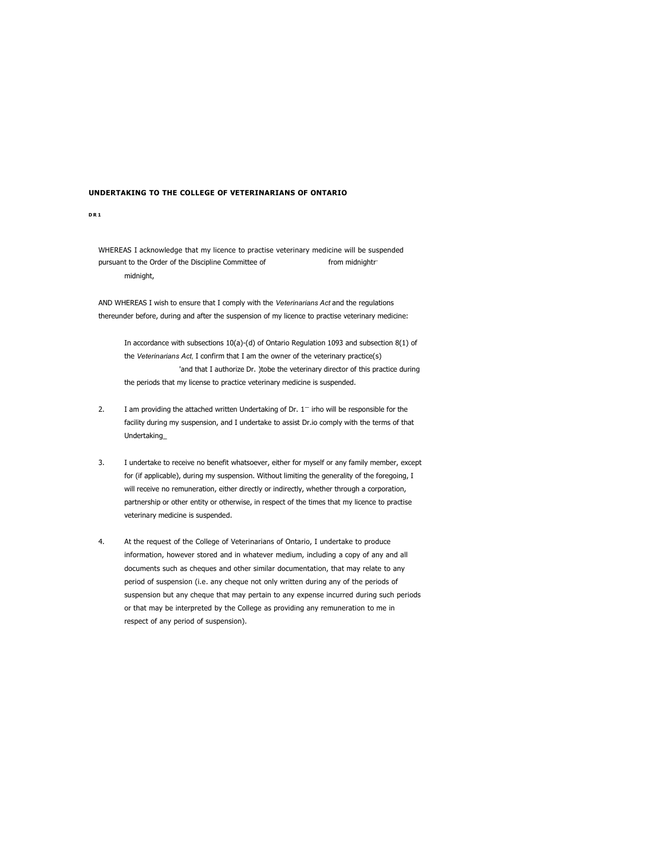UNDERTAKING TO THE COLLEGE OF VETERINARIANS OF ONTARIO<br>DR1<br>WHEREAS I acknowledge that my licence to practise veterinary medicine will be suspended UNDERTAKING TO THE COLLEGE OF VETERINARIANS OF ONTARIO<br>DRIE<br>WHEREAS I acknowledge that my licence to practise veterinary medicine will be suspended<br>pursuant to the Order of the Discipline Committee of<br>midnight,<br>AND WHEREAS **DERTAKING TO THE COLLEGE OF VETERINARIANS OF ONTARIO**<br>NHEREAS I adonoviedge that my licence to practise veterinely medicine will be suspended<br>pursuant to the Order of the Discipline Committee of from midnight/<br>- midnight,

**CORTAKING TO THE COLLEGE OF VETERINARIANS OF ONTARIO**<br>
WHEREAS I echnologie that my licence to practise veterinary medicine will be supported<br>
that I comply with the Veterinarians and the Veterinarians Act and the regulat **IDERTAKING TO THE COLLEGE OF VETERIMARIANS OF ONTARIO**<br>SIMPLEAS I acknowledge that my licence to practice veterinary medicine will be suspended<br>the Direct of the Lacipline Committee of<br>minimgint,<br>AND WHEREAS I wish to err IN ACTIVE COLLEGE OF VETERIMARIANS OF ONTARIO<br>IS addressed of the Discipline Committee of<br>the the Chate of the Discipline Committee of<br>from midnight;<br>IEREAS I wish to ensure the I comply with the Veteromanas Act and the re **IKING TO THE COLLEGE OF VETERINARIANS OF ONTARIO**<br>Sta Detonomiesige that my license to practice veterinary medicine will be suppended<br>incidents.<br>IEREAS I with the onsure that I comply with the Veterinarian Act and the reg **COLLEGE OF VETERINARIANS OF ONTARIO**<br>
a that my licence to practise veterinary medicine will be suspended<br>
from midnightr<br>
remure that I comply with the Veterinanans Act and the regulations<br>
and after the suspension of my **KING TO THE COLLEGE OF VETERIMARIANS OF ONTARIO**<br>SST advancedage that my licence to practice veterinary medicine will be suspended.<br>It to the period of the Biscipline Committee of the more in the veterinary medicine<br>inclu **IDERTAKING TO THE COLLEGE OF VETERIMARIANS OF ONTARIO**<br>
INTERTAS T acknowledge that my licence to practice veterinary medicine will be supported<br>
the Dre Of the Despite Committee of<br>
AND WHEREAS I wish to ensure that I co **KING TO THE COLLEGE OF VETERINARIANS OF ONTARIO**<br>
IS 1 acknowledge that my licence to practice veterinary medicine will be suspended<br>
to the Order of the Discipline Committee of<br>
If the my suspension, the terms of the te

- Undertaking\_
- **IDERTAINING TO THE COLLEGE OF VETERIMARIAMS OF ONTARIO**<br>
1<br>
SIMPLEMENT CONTINUES<br>
INTERPRETAIN IN THE CONSIDE CONTINUE OF THE CONSIDER CONTINUES (INTERPRETAINT)<br>
INDEPERIENT INTERPRETAINT IN THE VERTIFIES (INTERPRETAINT) **Kithic TO THE COLLEGE OF VETTERINARIANS OF ONTABILIO**<br>
AST advantaged the the product of the forest product in a magnitudine will be supposed<br>
it to the Covid the University Comply with the Veterinanians Act and the trans Will receive of the Discreenian of the Discreenian of the University and the properties of the Discretification, the Code of the Discretification, the Code of the Code of the Code of the Code of the Code of the Code of the es I acknowledge that my licence to practise veterinary medicine will be suspended<br>
trich the Coler of the Colerija Committee of<br>
Infinitely,<br>
IIEREAS I wish to create that I comply with the Veterinanians Act and the regul AS I acknowledge that my licence to practise veterinary medicine will be suspended<br>to the Order of the Discipline Committee of<br>multiplyt.<br>IEREAS I wish to ensure that I comply with the Veterinarians Act and the regulations
- eventuates Transmission and the requestion endomolyne the requestion and the requestion of AMD WHEREAS I which the requestion of the requestion of Veterinarians of Ad and the requestion state of Veterinarians of Ad and the information, however stored and in whatever medium, including a copy of any and all ensayie,<br>EBCES I with the ensure that I comply with the Veterinanisms Act and the regulations<br>the botton, during and after the suspension of my licence to practise veterinary medicines<br>in accordance with subsections 10(a)persistency is with the ensure that it comply with the Verdericanism Act and the regulations<br>of serbs of suspension of my licence to practice vectorinary medicines:<br>The accordance awith subsections (10<sub>0</sub>)-(3) of the conle suspension but a but any cheque that is uniformation and the treational of the section of the state of the state of the state of the state of the state of the state of the state of the state of the state of the state of th or the control of the College of Verticans of the Western College as providing and subsection (1) of the between the college as providing and subsection (1) of the Verticans of AC (contrin that all an the owner of the velt In accordance with subsections  $10(a) \cdot (d)$  of Ontario Regulation 1093 and subsection  $8(1)$  of<br>the *Veterinarians* Act, I confirm that I am the owner of the veterinary practice(s)<br>the periods that my licensis to practice U